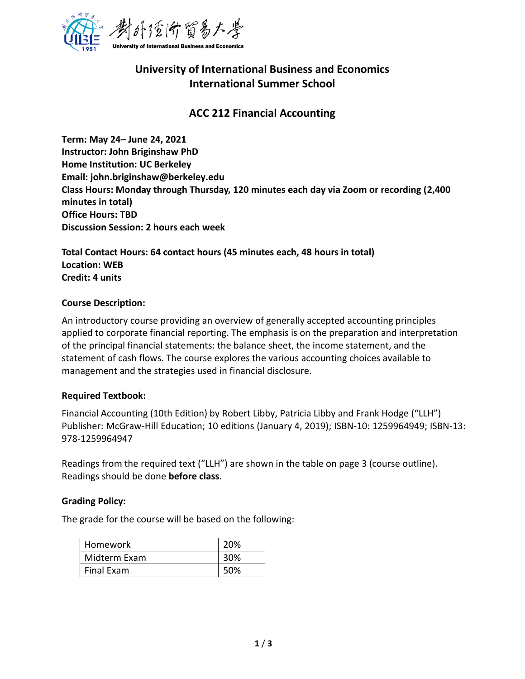

# **University of International Business and Economics International Summer School**

### **ACC 212 Financial Accounting**

**Term: May 24– June 24, 2021 Instructor: John Briginshaw PhD Home Institution: UC Berkeley Email: john.briginshaw@berkeley.edu Class Hours: Monday through Thursday, 120 minutes each day via Zoom or recording (2,400 minutes in total) Office Hours: TBD Discussion Session: 2 hours each week**

**Total Contact Hours: 64 contact hours (45 minutes each, 48 hours in total) Location: WEB Credit: 4 units**

#### **Course Description:**

An introductory course providing an overview of generally accepted accounting principles applied to corporate financial reporting. The emphasis is on the preparation and interpretation of the principal financial statements: the balance sheet, the income statement, and the statement of cash flows. The course explores the various accounting choices available to management and the strategies used in financial disclosure.

#### **Required Textbook:**

Financial Accounting (10th Edition) by Robert Libby, Patricia Libby and Frank Hodge ("LLH") Publisher: McGraw-Hill Education; 10 editions (January 4, 2019); ISBN-10: 1259964949; ISBN-13: 978-1259964947

Readings from the required text ("LLH") are shown in the table on page 3 (course outline). Readings should be done **before class**.

#### **Grading Policy:**

The grade for the course will be based on the following:

| Homework     | 20% |
|--------------|-----|
| Midterm Exam | 30% |
| Final Exam   | 50% |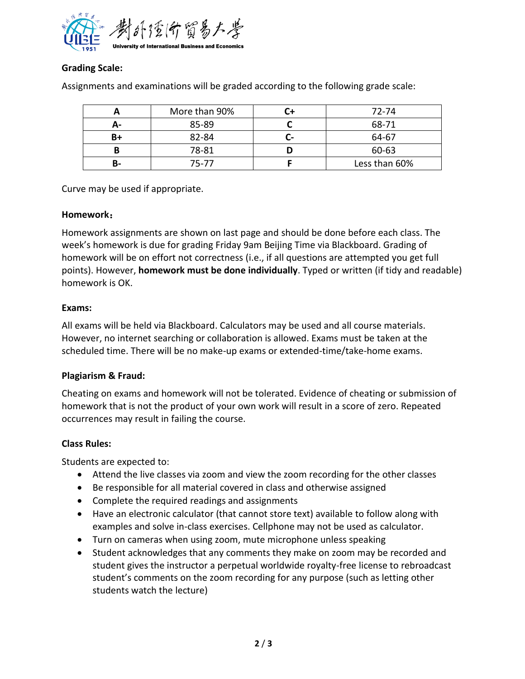

### **Grading Scale:**

|    | More than 90% |    | 72-74         |
|----|---------------|----|---------------|
| А- | 85-89         |    | 68-71         |
| B+ | 82-84         | ۰. | 64-67         |
| B  | 78-81         |    | 60-63         |
| В- | 75-77         |    | Less than 60% |

Assignments and examinations will be graded according to the following grade scale:

Curve may be used if appropriate.

#### **Homework**:

Homework assignments are shown on last page and should be done before each class. The week's homework is due for grading Friday 9am Beijing Time via Blackboard. Grading of homework will be on effort not correctness (i.e., if all questions are attempted you get full points). However, **homework must be done individually**. Typed or written (if tidy and readable) homework is OK.

#### **Exams:**

All exams will be held via Blackboard. Calculators may be used and all course materials. However, no internet searching or collaboration is allowed. Exams must be taken at the scheduled time. There will be no make-up exams or extended-time/take-home exams.

#### **Plagiarism & Fraud:**

Cheating on exams and homework will not be tolerated. Evidence of cheating or submission of homework that is not the product of your own work will result in a score of zero. Repeated occurrences may result in failing the course.

#### **Class Rules:**

Students are expected to:

- Attend the live classes via zoom and view the zoom recording for the other classes
- Be responsible for all material covered in class and otherwise assigned
- Complete the required readings and assignments
- Have an electronic calculator (that cannot store text) available to follow along with examples and solve in-class exercises. Cellphone may not be used as calculator.
- Turn on cameras when using zoom, mute microphone unless speaking
- Student acknowledges that any comments they make on zoom may be recorded and student gives the instructor a perpetual worldwide royalty-free license to rebroadcast student's comments on the zoom recording for any purpose (such as letting other students watch the lecture)